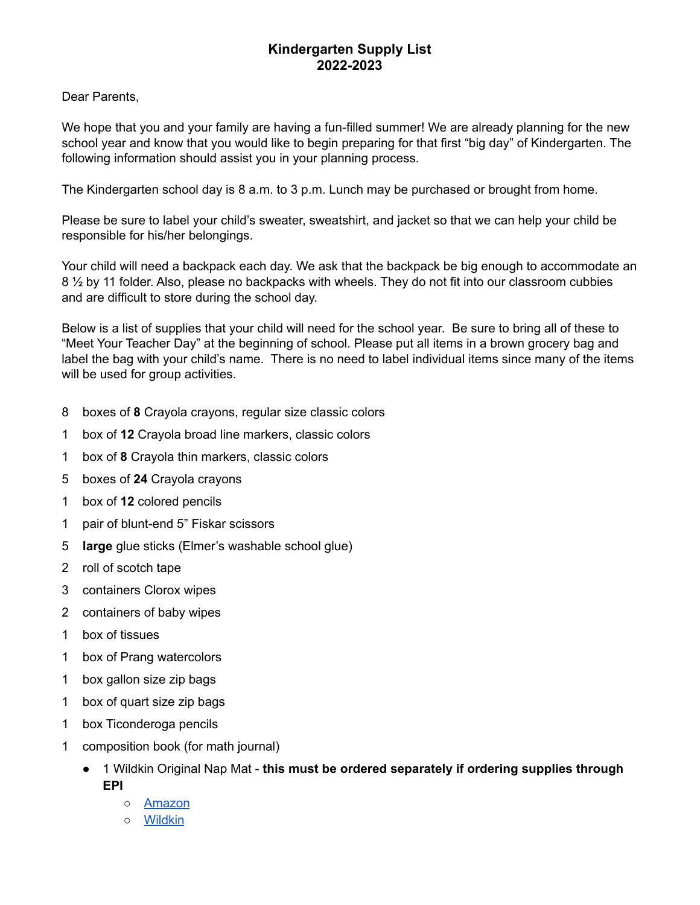## **Kindergarten Supply List 2022-2023**

Dear Parents,

We hope that you and your family are having a fun-filled summer! We are already planning for the new school year and know that you would like to begin preparing for that first "big day" of Kindergarten. The following information should assist you in your planning process.

The Kindergarten school day is 8 a.m. to 3 p.m. Lunch may be purchased or brought from home.

Please be sure to label your child's sweater, sweatshirt, and jacket so that we can help your child be responsible for his/her belongings.

Your child will need a backpack each day. We ask that the backpack be big enough to accommodate an 8 <sup>1</sup>/<sub>2</sub> by 11 folder. Also, please no backpacks with wheels. They do not fit into our classroom cubbies and are difficult to store during the school day.

Below is a list of supplies that your child will need for the school year. Be sure to bring all of these to "Meet Your Teacher Day" at the beginning of school. Please put all items in a brown grocery bag and label the bag with your child's name. There is no need to label individual items since many of the items will be used for group activities.

- 8 boxes of **8** Crayola crayons, regular size classic colors
- 1 box of **12** Crayola broad line markers, classic colors
- 1 box of **8** Crayola thin markers, classic colors
- 5 boxes of **24** Crayola crayons
- 1 box of **12** colored pencils
- 1 pair of blunt-end 5" Fiskar scissors
- 5 **large** glue sticks (Elmer's washable school glue)
- 2 roll of scotch tape
- 3 containers Clorox wipes
- 2 containers of baby wipes
- 1 box of tissues
- 1 box of Prang watercolors
- 1 box gallon size zip bags
- 1 box of quart size zip bags
- 1 box Ticonderoga pencils
- 1 composition book (for math journal)
	- 1 Wildkin Original Nap Mat **this must be ordered separately if ordering supplies through EPI**
		- [Amazon](https://www.amazon.com/s?k=wildkin+nap+mat&ref=bnav_search_go)
		- [Wildkin](https://wildkin.com/collections/nap-mats-1/original-nap-mat)